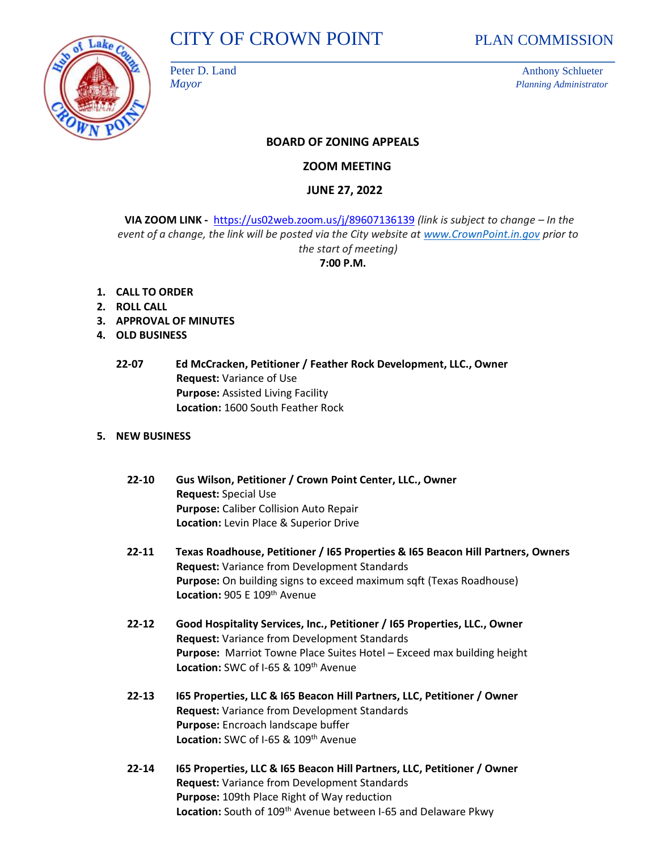# CITY OF CROWN POINT PLAN COMMISSION



Peter D. Land Anthony Schlueter *Mayor Planning Administrator* 

## **BOARD OF ZONING APPEALS**

## **ZOOM MEETING**

#### **JUNE 27, 2022**

**VIA ZOOM LINK -** <https://us02web.zoom.us/j/89607136139> *(link is subject to change – In the event of a change, the link will be posted via the City website at [www.CrownPoint.in.gov](http://www.crownpoint.in.gov/) prior to the start of meeting)*

 **7:00 P.M.**

- **1. CALL TO ORDER**
- **2. ROLL CALL**
- **3. APPROVAL OF MINUTES**
- **4. OLD BUSINESS**
	- **22-07 Ed McCracken, Petitioner / Feather Rock Development, LLC., Owner Request:** Variance of Use  **Purpose:** Assisted Living Facility  **Location:** 1600 South Feather Rock

#### **5. NEW BUSINESS**

- **22-10 Gus Wilson, Petitioner / Crown Point Center, LLC., Owner Request:** Special Use  **Purpose:** Caliber Collision Auto Repair  **Location:** Levin Place & Superior Drive
- **22-11 Texas Roadhouse, Petitioner / I65 Properties & I65 Beacon Hill Partners, Owners Request:** Variance from Development Standards  **Purpose:** On building signs to exceed maximum sqft (Texas Roadhouse)  **Location:** 905 E 109th Avenue
- **22-12 Good Hospitality Services, Inc., Petitioner / I65 Properties, LLC., Owner Request:** Variance from Development Standards  **Purpose:** Marriot Towne Place Suites Hotel – Exceed max building height Location: SWC of I-65 & 109<sup>th</sup> Avenue
- **22-13 I65 Properties, LLC & I65 Beacon Hill Partners, LLC, Petitioner / Owner Request:** Variance from Development Standards **Purpose:** Encroach landscape buffer Location: SWC of I-65 & 109<sup>th</sup> Avenue
- **22-14 I65 Properties, LLC & I65 Beacon Hill Partners, LLC, Petitioner / Owner Request:** Variance from Development Standards  **Purpose:** 109th Place Right of Way reduction  **Location:** South of 109th Avenue between I-65 and Delaware Pkwy